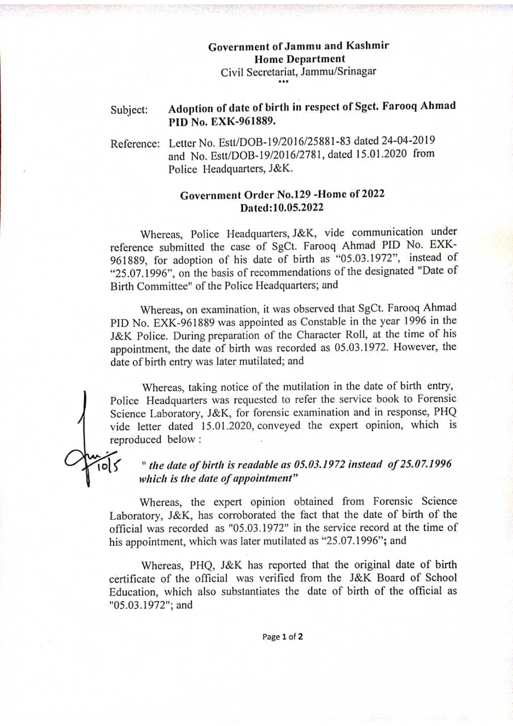# Government of Jammu and Kashmir Home Department Civil Secretariat, Jammu/Srinagar

#### Adoption of date of birth in respect of Sget. Farooq Ahmad PID No. EXK-961889. Subject:

Reference: Letter No. Est/DOB-19/2016/25881-83 dated 24-04-2019 and No. Estt/DOB-19/2016/2781, dated 15.01.2020 from Police Headquarters, J&K.

## Government Order No.129 -Home of 2022 Dated:10.05.2022

Whereas, Police Headquarters, J&K, vide communication under reference submitted the case of SgCt. Farooq Ahmad PID No. EXK-961889, for adoption of his date of birth as "05.03.1972", instead of 25.07.1996", on the basis of recommendations of the designated "Date of Birth Committee" of the Police Headquarters; and

Whereas, on examination, it was observed that SgCt. Farooq Ahmad PID No. EXK-961889 was appointed as Constable in the year 1996 in the J&K Police. During preparation of the Character Roll, at the time of his appointment, the date of birth was recorded as 05.03.1972. However, the date of birth entry was later mutilated; and

Whereas, taking notice of the mutilation in the date of birth entry, Police Headquarters was requested to refer the service book to Forensic Science Laboratory, J&K, for forensic examination and in response, PHQ vide letter dated 15.01.2020, conveyed the expert opinion, which is reproduced below

र्णि

## " the date of birth is readable as 05.03.1972 instead of 25.07.1996 which is the date of appointment"

Whereas, the expert opinion obtained from Forensic Science Laboratory, J&K, has corroborated the fact that the date of birth of the official was recorded as "05.03.1972" in the service record at the time of his appointment, which was later mutilated as "25.07.1996"; and

Whereas, PHQ, J&K has reported that the original date of birth certificate of the official was verified from the J&K Board of School Education, which also substantiates the date of birth of the official as "05.03.1972"; and

Page 1 of 2